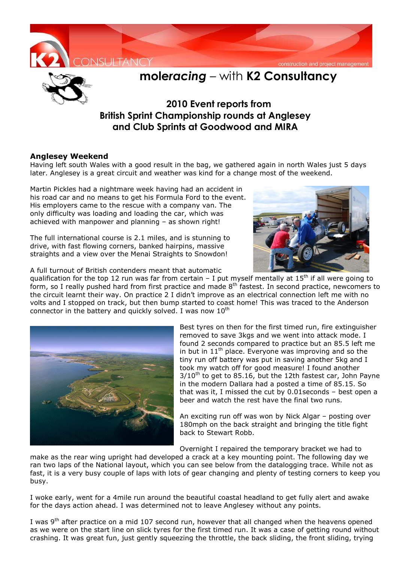



## **mole***racing* – with **K2 Consultancy**

## **2010 Event reports from British Sprint Championship rounds at Anglesey and Club Sprints at Goodwood and MIRA**

## **Anglesey Weekend**

Having left south Wales with a good result in the bag, we gathered again in north Wales just 5 days later. Anglesey is a great circuit and weather was kind for a change most of the weekend.

Martin Pickles had a nightmare week having had an accident in his road car and no means to get his Formula Ford to the event. His employers came to the rescue with a company van. The only difficulty was loading and loading the car, which was achieved with manpower and planning – as shown right!

The full international course is 2.1 miles, and is stunning to drive, with fast flowing corners, banked hairpins, massive straights and a view over the Menai Straights to Snowdon!

A full turnout of British contenders meant that automatic



qualification for the top 12 run was far from certain – I put myself mentally at  $15<sup>th</sup>$  if all were going to form, so I really pushed hard from first practice and made 8<sup>th</sup> fastest. In second practice, newcomers to the circuit learnt their way. On practice 2 I didn't improve as an electrical connection left me with no volts and I stopped on track, but then bump started to coast home! This was traced to the Anderson connector in the battery and quickly solved. I was now  $10^{th}$ 



Best tyres on then for the first timed run, fire extinguisher removed to save 3kgs and we went into attack mode. I found 2 seconds compared to practice but an 85.5 left me in but in  $11<sup>th</sup>$  place. Everyone was improving and so the tiny run off battery was put in saving another 5kg and I took my watch off for good measure! I found another  $3/10^{th}$  to get to 85.16, but the 12th fastest car, John Payne in the modern Dallara had a posted a time of 85.15. So that was it, I missed the cut by 0.01seconds – best open a beer and watch the rest have the final two runs.

An exciting run off was won by Nick Algar – posting over 180mph on the back straight and bringing the title fight back to Stewart Robb.

Overnight I repaired the temporary bracket we had to

make as the rear wing upright had developed a crack at a key mounting point. The following day we ran two laps of the National layout, which you can see below from the datalogging trace. While not as fast, it is a very busy couple of laps with lots of gear changing and plenty of testing corners to keep you busy.

I woke early, went for a 4mile run around the beautiful coastal headland to get fully alert and awake for the days action ahead. I was determined not to leave Anglesey without any points.

I was  $9<sup>th</sup>$  after practice on a mid 107 second run, however that all changed when the heavens opened as we were on the start line on slick tyres for the first timed run. It was a case of getting round without crashing. It was great fun, just gently squeezing the throttle, the back sliding, the front sliding, trying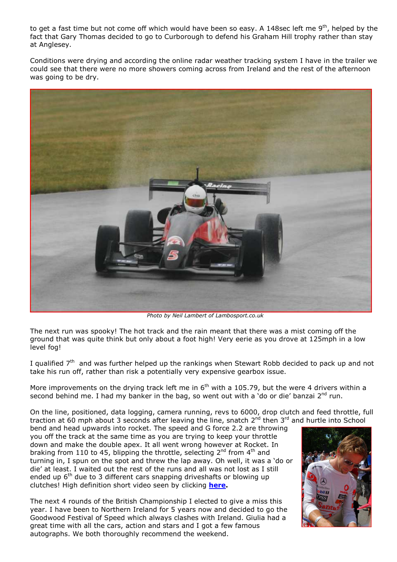to get a fast time but not come off which would have been so easy. A 148sec left me 9<sup>th</sup>, helped by the fact that Gary Thomas decided to go to Curborough to defend his Graham Hill trophy rather than stay at Anglesey.

Conditions were drying and according the online radar weather tracking system I have in the trailer we could see that there were no more showers coming across from Ireland and the rest of the afternoon was going to be dry.



*Photo by Neil Lambert of Lambosport.co.uk* 

The next run was spooky! The hot track and the rain meant that there was a mist coming off the ground that was quite think but only about a foot high! Very eerie as you drove at 125mph in a low level fog!

I qualified 7<sup>th</sup> and was further helped up the rankings when Stewart Robb decided to pack up and not take his run off, rather than risk a potentially very expensive gearbox issue.

More improvements on the drying track left me in  $6<sup>th</sup>$  with a 105.79, but the were 4 drivers within a second behind me. I had my banker in the bag, so went out with a 'do or die' banzai  $2^{nd}$  run.

On the line, positioned, data logging, camera running, revs to 6000, drop clutch and feed throttle, full traction at 60 mph about 3 seconds after leaving the line, snatch 2<sup>nd</sup> then 3<sup>rd</sup> and hurtle into School

bend and head upwards into rocket. The speed and G force 2.2 are throwing you off the track at the same time as you are trying to keep your throttle down and make the double apex. It all went wrong however at Rocket. In braking from 110 to 45, blipping the throttle, selecting  $2^{nd}$  from  $4^{th}$  and turning in, I spun on the spot and threw the lap away. Oh well, it was a 'do or die' at least. I waited out the rest of the runs and all was not lost as I still ended up  $6<sup>th</sup>$  due to 3 different cars snapping driveshafts or blowing up clutches! High definition short video seen by clicking **here.**

The next 4 rounds of the British Championship I elected to give a miss this year. I have been to Northern Ireland for 5 years now and decided to go the Goodwood Festival of Speed which always clashes with Ireland. Giulia had a great time with all the cars, action and stars and I got a few famous autographs. We both thoroughly recommend the weekend.